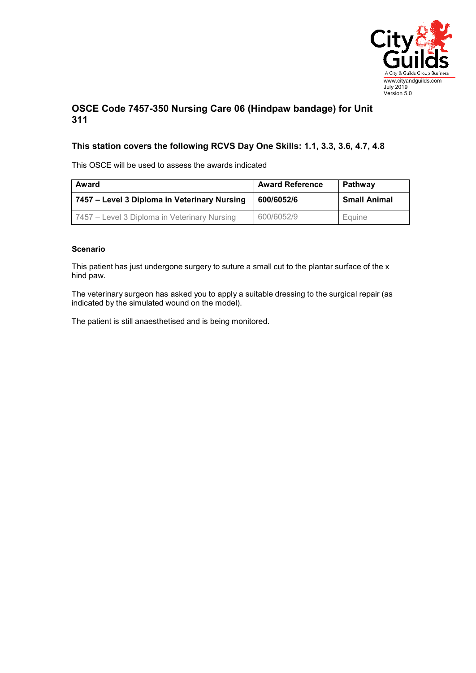

## **OSCE Code 7457-350 Nursing Care 06 (Hindpaw bandage) for Unit 311**

## **This station covers the following RCVS Day One Skills: 1.1, 3.3, 3.6, 4.7, 4.8**

This OSCE will be used to assess the awards indicated

| Award                                        | <b>Award Reference</b> | Pathway             |
|----------------------------------------------|------------------------|---------------------|
| 7457 – Level 3 Diploma in Veterinary Nursing | 600/6052/6             | <b>Small Animal</b> |
| 7457 – Level 3 Diploma in Veterinary Nursing | 600/6052/9             | Equine              |

## **Scenario**

This patient has just undergone surgery to suture a small cut to the plantar surface of the x hind paw.

The veterinary surgeon has asked you to apply a suitable dressing to the surgical repair (as indicated by the simulated wound on the model).

The patient is still anaesthetised and is being monitored.